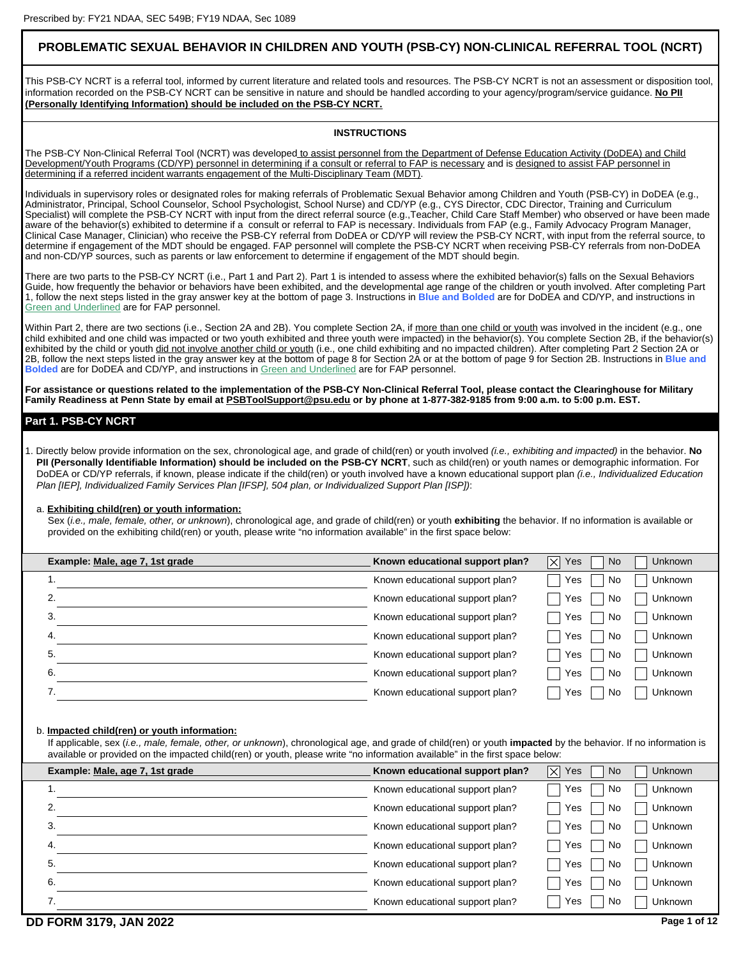# **PROBLEMATIC SEXUAL BEHAVIOR IN CHILDREN AND YOUTH (PSB-CY) NON-CLINICAL REFERRAL TOOL (NCRT)**

This PSB-CY NCRT is a referral tool, informed by current literature and related tools and resources. The PSB-CY NCRT is not an assessment or disposition tool, information recorded on the PSB-CY NCRT can be sensitive in nature and should be handled according to your agency/program/service guidance. **No PII (Personally Identifying Information) should be included on the PSB-CY NCRT.**

### **INSTRUCTIONS**

The PSB-CY Non-Clinical Referral Tool (NCRT) was developed to assist personnel from the Department of Defense Education Activity (DoDEA) and Child Development/Youth Programs (CD/YP) personnel in determining if a consult or referral to FAP is necessary and is designed to assist FAP personnel in determining if a referred incident warrants engagement of the Multi-Disciplinary Team (MDT).

Individuals in supervisory roles or designated roles for making referrals of Problematic Sexual Behavior among Children and Youth (PSB-CY) in DoDEA (e.g., Administrator, Principal, School Counselor, School Psychologist, School Nurse) and CD/YP (e.g., CYS Director, CDC Director, Training and Curriculum Specialist) will complete the PSB-CY NCRT with input from the direct referral source (e.g.,Teacher, Child Care Staff Member) who observed or have been made aware of the behavior(s) exhibited to determine if a consult or referral to FAP is necessary. Individuals from FAP (e.g., Family Advocacy Program Manager, Clinical Case Manager, Clinician) who receive the PSB-CY referral from DoDEA or CD/YP will review the PSB-CY NCRT, with input from the referral source, to determine if engagement of the MDT should be engaged. FAP personnel will complete the PSB-CY NCRT when receiving PSB-CY referrals from non-DoDEA and non-CD/YP sources, such as parents or law enforcement to determine if engagement of the MDT should begin.

There are two parts to the PSB-CY NCRT (i.e., Part 1 and Part 2). Part 1 is intended to assess where the exhibited behavior(s) falls on the Sexual Behaviors Guide, how frequently the behavior or behaviors have been exhibited, and the developmental age range of the children or youth involved. After completing Part 1, follow the next steps listed in the gray answer key at the bottom of page 3. Instructions in **Blue and Bolded** are for DoDEA and CD/YP, and instructions in Green and Underlined are for FAP personnel.

Within Part 2, there are two sections (i.e., Section 2A and 2B). You complete Section 2A, if more than one child or youth was involved in the incident (e.g., one child exhibited and one child was impacted or two youth exhibited and three youth were impacted) in the behavior(s). You complete Section 2B, if the behavior(s) exhibited by the child or youth did not involve another child or youth (i.e., one child exhibiting and no impacted children). After completing Part 2 Section 2A or 2B, follow the next steps listed in the gray answer key at the bottom of page 8 for Section 2A or at the bottom of page 9 for Section 2B. Instructions in **Blue and Bolded** are for DoDEA and CD/YP, and instructions in Green and Underlined are for FAP personnel.

**For assistance or questions related to the implementation of the PSB-CY Non-Clinical Referral Tool, please contact the Clearinghouse for Military Family Readiness at Penn State by email at PSBToolSupport@psu.edu or by phone at 1-877-382-9185 from 9:00 a.m. to 5:00 p.m. EST.**

## **Part 1. PSB-CY NCRT**

1. Directly below provide information on the sex, chronological age, and grade of child(ren) or youth involved *(i.e., exhibiting and impacted)* in the behavior. **No PII (Personally Identifiable Information) should be included on the PSB-CY NCRT**, such as child(ren) or youth names or demographic information. For DoDEA or CD/YP referrals, if known, please indicate if the child(ren) or youth involved have a known educational support plan *(i.e., Individualized Education Plan [IEP], Individualized Family Services Plan [IFSP], 504 plan, or Individualized Support Plan [ISP])*:

### a. **Exhibiting child(ren) or youth information:**

Sex (*i.e., male, female, other, or unknown*), chronological age, and grade of child(ren) or youth **exhibiting** the behavior. If no information is available or provided on the exhibiting child(ren) or youth, please write "no information available" in the first space below:

| Example: Male, age 7, 1st grade | Known educational support plan? | $ \times $<br>Unknown<br>Yes<br>No. |
|---------------------------------|---------------------------------|-------------------------------------|
|                                 | Known educational support plan? | Unknown<br>No<br>Yes                |
| ົ                               | Known educational support plan? | Unknown<br>No<br>Yes                |
| 3.                              | Known educational support plan? | Unknown<br><b>No</b><br>Yes         |
| 4.                              | Known educational support plan? | Unknown<br>No<br>Yes                |
| 5.                              | Known educational support plan? | Unknown<br><b>No</b><br>Yes         |
| 6.                              | Known educational support plan? | <b>Unknown</b><br>No<br>Yes         |
|                                 | Known educational support plan? | Unknown<br>No<br>Yes                |

### b. **Impacted child(ren) or youth information:**

If applicable, sex (*i.e., male, female, other, or unknown*), chronological age, and grade of child(ren) or youth **impacted** by the behavior. If no information is available or provided on the impacted child(ren) or youth, please write "no information available" in the first space below:

| Example: Male, age 7, 1st grade | Known educational support plan? | $\left \times\right $<br>Yes<br>No | Unknown        |
|---------------------------------|---------------------------------|------------------------------------|----------------|
| .,                              | Known educational support plan? | Yes<br>No                          | Unknown        |
| ົ                               | Known educational support plan? | No<br>Yes                          | Unknown        |
| 3                               | Known educational support plan? | Yes<br>No                          | Unknown        |
| 4.                              | Known educational support plan? | No<br>Yes                          | Unknown        |
| 5.                              | Known educational support plan? | No<br>Yes                          | <b>Unknown</b> |
| 6.                              | Known educational support plan? | No<br>Yes                          | <b>Unknown</b> |
|                                 | Known educational support plan? | No<br>Yes                          | <b>Unknown</b> |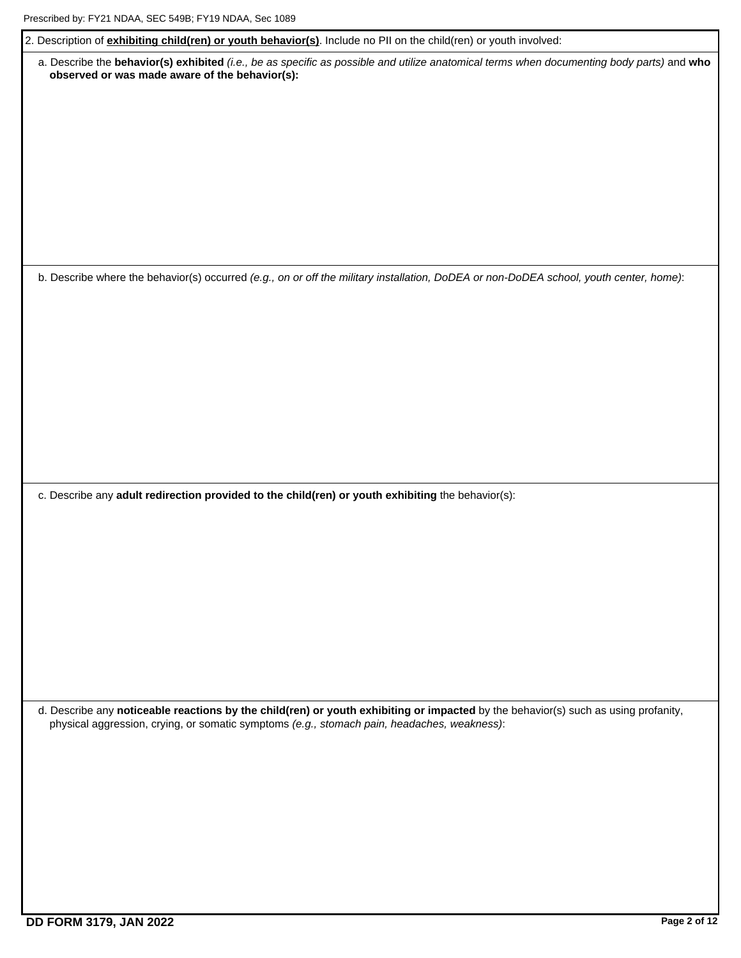| 2. Description of <i>exhibiting child(ren) or youth behavior(s)</i> . Include no PII on the child(ren) or youth involved:                                                                   |
|---------------------------------------------------------------------------------------------------------------------------------------------------------------------------------------------|
| a. Describe the behavior(s) exhibited (i.e., be as specific as possible and utilize anatomical terms when documenting body parts) and who<br>observed or was made aware of the behavior(s): |
|                                                                                                                                                                                             |
|                                                                                                                                                                                             |
|                                                                                                                                                                                             |
| b. Describe where the behavior(s) occurred (e.g., on or off the military installation, DoDEA or non-DoDEA school, youth center, home):                                                      |
|                                                                                                                                                                                             |
|                                                                                                                                                                                             |
|                                                                                                                                                                                             |
|                                                                                                                                                                                             |
| c. Describe any adult redirection provided to the child(ren) or youth exhibiting the behavior(s):                                                                                           |
|                                                                                                                                                                                             |
|                                                                                                                                                                                             |
|                                                                                                                                                                                             |
| d. Describe any noticeable reactions by the child(ren) or youth exhibiting or impacted by the behavior(s) such as using profanity,                                                          |
| physical aggression, crying, or somatic symptoms (e.g., stomach pain, headaches, weakness):                                                                                                 |
|                                                                                                                                                                                             |
|                                                                                                                                                                                             |
|                                                                                                                                                                                             |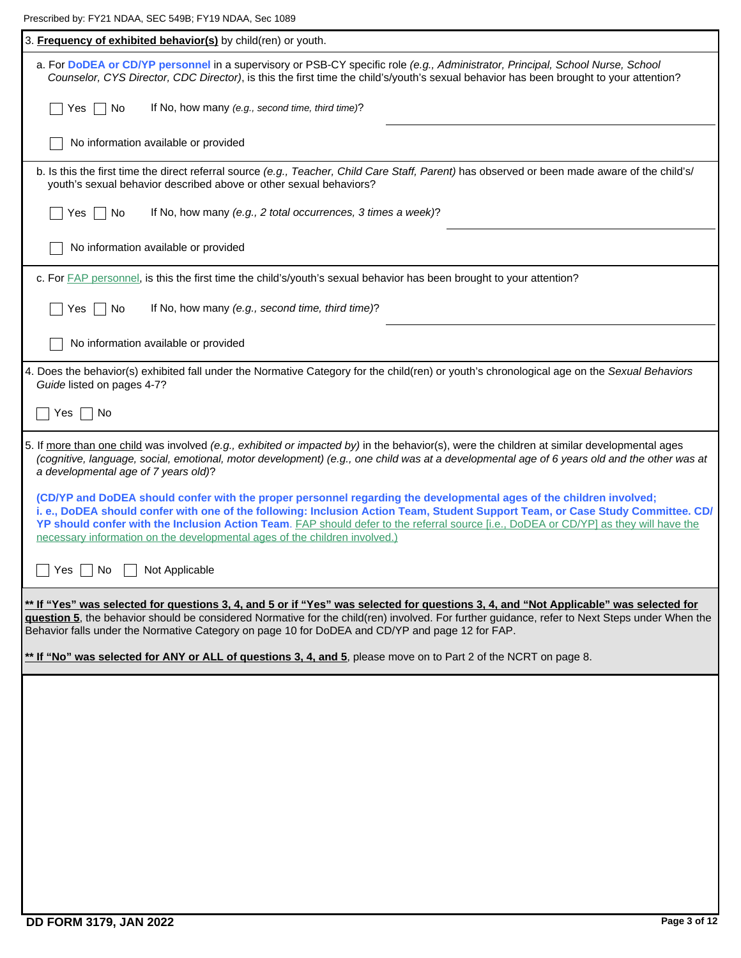Prescribed by: FY21 NDAA, SEC 549B; FY19 NDAA, Sec 1089

| FIESCHDEU DY. FIZT NDAA, SEC 349D, FIT9 NDAA, SEC 1009                                                                                                                                                                                                                                                                                                                                                                                                                        |
|-------------------------------------------------------------------------------------------------------------------------------------------------------------------------------------------------------------------------------------------------------------------------------------------------------------------------------------------------------------------------------------------------------------------------------------------------------------------------------|
| 3. Frequency of exhibited behavior(s) by child(ren) or youth.                                                                                                                                                                                                                                                                                                                                                                                                                 |
| a. For DoDEA or CD/YP personnel in a supervisory or PSB-CY specific role (e.g., Administrator, Principal, School Nurse, School<br>Counselor, CYS Director, CDC Director), is this the first time the child's/youth's sexual behavior has been brought to your attention?                                                                                                                                                                                                      |
| If No, how many (e.g., second time, third time)?<br>Yes<br>No.                                                                                                                                                                                                                                                                                                                                                                                                                |
| No information available or provided                                                                                                                                                                                                                                                                                                                                                                                                                                          |
| b. Is this the first time the direct referral source (e.g., Teacher, Child Care Staff, Parent) has observed or been made aware of the child's/<br>youth's sexual behavior described above or other sexual behaviors?                                                                                                                                                                                                                                                          |
| If No, how many (e.g., 2 total occurrences, 3 times a week)?<br>No<br>Yes                                                                                                                                                                                                                                                                                                                                                                                                     |
| No information available or provided                                                                                                                                                                                                                                                                                                                                                                                                                                          |
| c. For FAP personnel, is this the first time the child's/youth's sexual behavior has been brought to your attention?                                                                                                                                                                                                                                                                                                                                                          |
| If No, how many (e.g., second time, third time)?<br>No<br>Yes                                                                                                                                                                                                                                                                                                                                                                                                                 |
| No information available or provided                                                                                                                                                                                                                                                                                                                                                                                                                                          |
| 4. Does the behavior(s) exhibited fall under the Normative Category for the child(ren) or youth's chronological age on the Sexual Behaviors<br>Guide listed on pages 4-7?                                                                                                                                                                                                                                                                                                     |
| ∣ No<br>Yes                                                                                                                                                                                                                                                                                                                                                                                                                                                                   |
| 5. If more than one child was involved (e.g., exhibited or impacted by) in the behavior(s), were the children at similar developmental ages<br>(cognitive, language, social, emotional, motor development) (e.g., one child was at a developmental age of 6 years old and the other was at<br>a developmental age of 7 years old)?                                                                                                                                            |
| (CD/YP and DoDEA should confer with the proper personnel regarding the developmental ages of the children involved;<br>i. e., DoDEA should confer with one of the following: Inclusion Action Team, Student Support Team, or Case Study Committee. CD/<br>YP should confer with the Inclusion Action Team. FAP should defer to the referral source [i.e., DoDEA or CD/YP] as they will have the<br>necessary information on the developmental ages of the children involved.) |
| Not Applicable<br>$Yes \mid \text{No}$                                                                                                                                                                                                                                                                                                                                                                                                                                        |
| ** If "Yes" was selected for questions 3, 4, and 5 or if "Yes" was selected for questions 3, 4, and "Not Applicable" was selected for<br>guestion 5, the behavior should be considered Normative for the child(ren) involved. For further guidance, refer to Next Steps under When the<br>Behavior falls under the Normative Category on page 10 for DoDEA and CD/YP and page 12 for FAP.                                                                                     |
| ** If "No" was selected for ANY or ALL of questions 3, 4, and 5, please move on to Part 2 of the NCRT on page 8.                                                                                                                                                                                                                                                                                                                                                              |
|                                                                                                                                                                                                                                                                                                                                                                                                                                                                               |
|                                                                                                                                                                                                                                                                                                                                                                                                                                                                               |
|                                                                                                                                                                                                                                                                                                                                                                                                                                                                               |
|                                                                                                                                                                                                                                                                                                                                                                                                                                                                               |
|                                                                                                                                                                                                                                                                                                                                                                                                                                                                               |
|                                                                                                                                                                                                                                                                                                                                                                                                                                                                               |
|                                                                                                                                                                                                                                                                                                                                                                                                                                                                               |
|                                                                                                                                                                                                                                                                                                                                                                                                                                                                               |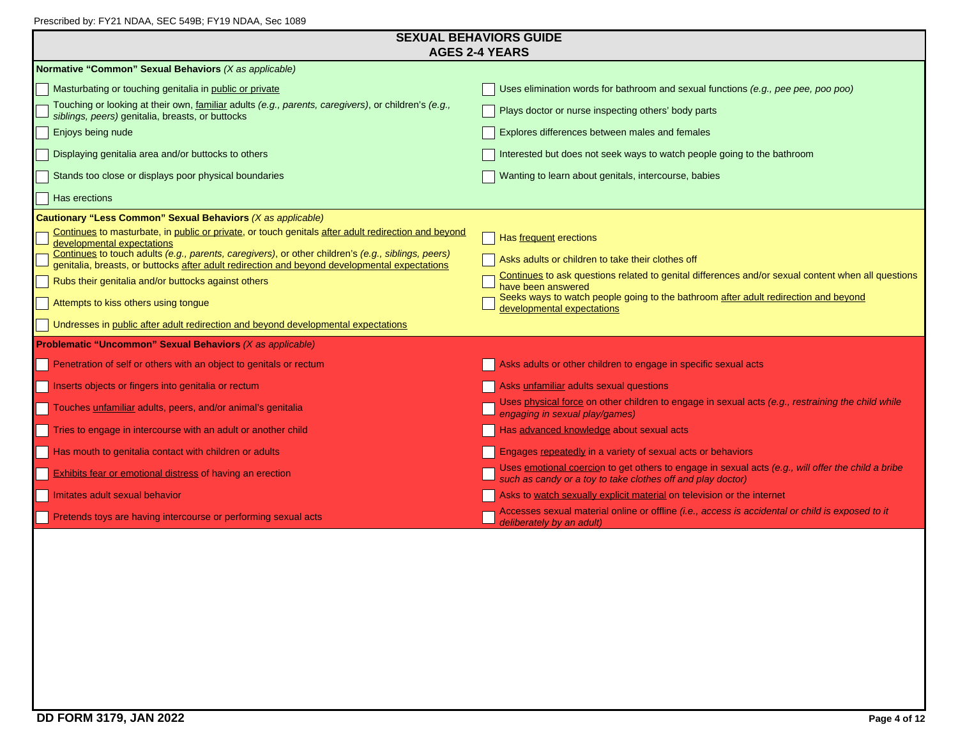| Prescribed by: FY21 NDAA, SEC 549B; FY19 NDAA, Sec 1089 |  |  |
|---------------------------------------------------------|--|--|
|                                                         |  |  |

| PTESCIDED BY. FTZT NDAA, SEC 349D, FTT9 NDAA, SEC 1009                                                                                                                                                                                  | <b>SEXUAL BEHAVIORS GUIDE</b>                                                                                                                                     |
|-----------------------------------------------------------------------------------------------------------------------------------------------------------------------------------------------------------------------------------------|-------------------------------------------------------------------------------------------------------------------------------------------------------------------|
|                                                                                                                                                                                                                                         | <b>AGES 2-4 YEARS</b>                                                                                                                                             |
| Normative "Common" Sexual Behaviors (X as applicable)                                                                                                                                                                                   |                                                                                                                                                                   |
| Masturbating or touching genitalia in public or private                                                                                                                                                                                 | Uses elimination words for bathroom and sexual functions (e.g., pee pee, poo poo)                                                                                 |
| Touching or looking at their own, familiar adults (e.g., parents, caregivers), or children's (e.g.,<br>siblings, peers) genitalia, breasts, or buttocks                                                                                 | Plays doctor or nurse inspecting others' body parts                                                                                                               |
| Enjoys being nude                                                                                                                                                                                                                       | Explores differences between males and females                                                                                                                    |
| Displaying genitalia area and/or buttocks to others                                                                                                                                                                                     | Interested but does not seek ways to watch people going to the bathroom                                                                                           |
| Stands too close or displays poor physical boundaries                                                                                                                                                                                   | Wanting to learn about genitals, intercourse, babies                                                                                                              |
| Has erections                                                                                                                                                                                                                           |                                                                                                                                                                   |
| Cautionary "Less Common" Sexual Behaviors (X as applicable)                                                                                                                                                                             |                                                                                                                                                                   |
| Continues to masturbate, in public or private, or touch genitals after adult redirection and beyond<br>developmental expectations<br>Continues to touch adults (e.g., parents, caregivers), or other children's (e.g., siblings, peers) | Has frequent erections                                                                                                                                            |
| genitalia, breasts, or buttocks after adult redirection and beyond developmental expectations                                                                                                                                           | Asks adults or children to take their clothes off                                                                                                                 |
| Rubs their genitalia and/or buttocks against others                                                                                                                                                                                     | Continues to ask questions related to genital differences and/or sexual content when all questions<br>have been answered                                          |
| Attempts to kiss others using tongue                                                                                                                                                                                                    | Seeks ways to watch people going to the bathroom after adult redirection and beyond<br>developmental expectations                                                 |
| Undresses in public after adult redirection and beyond developmental expectations                                                                                                                                                       |                                                                                                                                                                   |
| <b>Problematic "Uncommon" Sexual Behaviors (X as applicable)</b>                                                                                                                                                                        |                                                                                                                                                                   |
| Penetration of self or others with an object to genitals or rectum                                                                                                                                                                      | Asks adults or other children to engage in specific sexual acts                                                                                                   |
| Inserts objects or fingers into genitalia or rectum                                                                                                                                                                                     | Asks unfamiliar adults sexual questions                                                                                                                           |
| Touches unfamiliar adults, peers, and/or animal's genitalia                                                                                                                                                                             | Uses physical force on other children to engage in sexual acts (e.g., restraining the child while<br>engaging in sexual play/games)                               |
| Fries to engage in intercourse with an adult or another child                                                                                                                                                                           | Has advanced knowledge about sexual acts                                                                                                                          |
| Has mouth to genitalia contact with children or adults                                                                                                                                                                                  | Engages repeatedly in a variety of sexual acts or behaviors                                                                                                       |
| <b>Exhibits fear or emotional distress of having an erection</b>                                                                                                                                                                        | Uses emotional coercion to get others to engage in sexual acts (e.g., will offer the child a bribe<br>such as candy or a toy to take clothes off and play doctor) |
| Imitates adult sexual behavior                                                                                                                                                                                                          | Asks to watch sexually explicit material on television or the internet                                                                                            |
| Pretends toys are having intercourse or performing sexual acts                                                                                                                                                                          | Accesses sexual material online or offline <i>(i.e., access is accidental or child is exposed to it</i><br>deliberately by an adult)                              |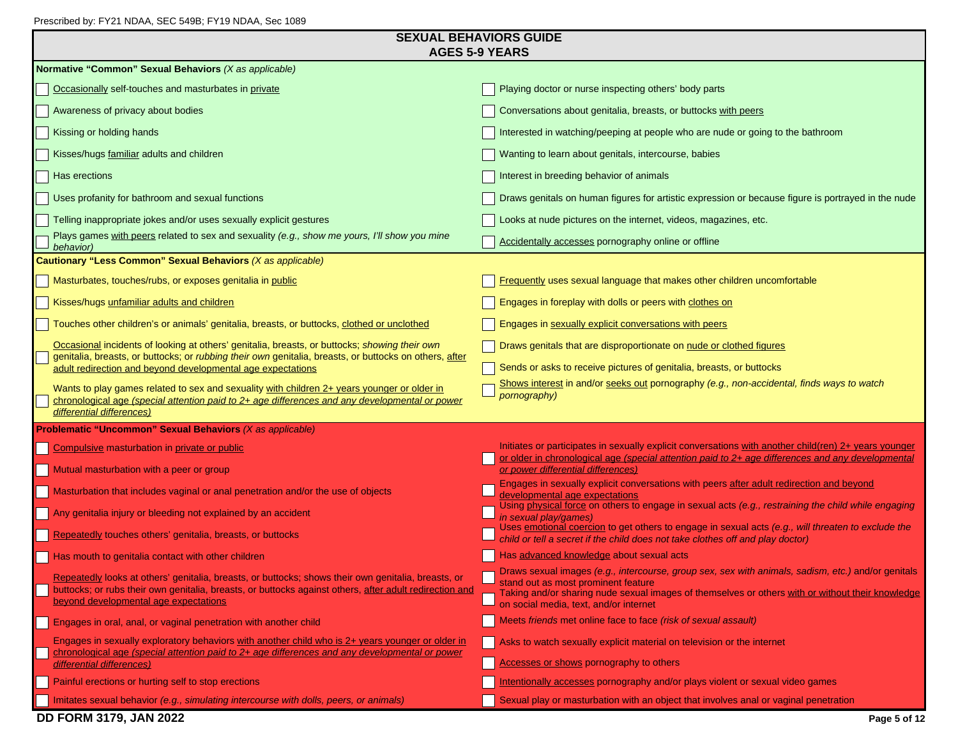| <b>SEXUAL BEHAVIORS GUIDE</b> |
|-------------------------------|
| AGES 5-9 YEARS                |

| AGES 5-9 YEARS                                                                                                                                                                                                                                          |                                                                                                                                                                                                                                                                                         |
|---------------------------------------------------------------------------------------------------------------------------------------------------------------------------------------------------------------------------------------------------------|-----------------------------------------------------------------------------------------------------------------------------------------------------------------------------------------------------------------------------------------------------------------------------------------|
| Normative "Common" Sexual Behaviors (X as applicable)                                                                                                                                                                                                   |                                                                                                                                                                                                                                                                                         |
| Occasionally self-touches and masturbates in private                                                                                                                                                                                                    | Playing doctor or nurse inspecting others' body parts                                                                                                                                                                                                                                   |
| Awareness of privacy about bodies                                                                                                                                                                                                                       | Conversations about genitalia, breasts, or buttocks with peers                                                                                                                                                                                                                          |
| Kissing or holding hands                                                                                                                                                                                                                                | Interested in watching/peeping at people who are nude or going to the bathroom                                                                                                                                                                                                          |
| Kisses/hugs familiar adults and children                                                                                                                                                                                                                | Wanting to learn about genitals, intercourse, babies                                                                                                                                                                                                                                    |
| Has erections                                                                                                                                                                                                                                           | Interest in breeding behavior of animals                                                                                                                                                                                                                                                |
| Uses profanity for bathroom and sexual functions                                                                                                                                                                                                        | Draws genitals on human figures for artistic expression or because figure is portrayed in the nude                                                                                                                                                                                      |
| Telling inappropriate jokes and/or uses sexually explicit gestures                                                                                                                                                                                      | Looks at nude pictures on the internet, videos, magazines, etc.                                                                                                                                                                                                                         |
| Plays games with peers related to sex and sexuality (e.g., show me yours, I'll show you mine<br>behavior)                                                                                                                                               | Accidentally accesses pornography online or offline                                                                                                                                                                                                                                     |
| Cautionary "Less Common" Sexual Behaviors (X as applicable)                                                                                                                                                                                             |                                                                                                                                                                                                                                                                                         |
| Masturbates, touches/rubs, or exposes genitalia in public                                                                                                                                                                                               | Frequently uses sexual language that makes other children uncomfortable                                                                                                                                                                                                                 |
| Kisses/hugs unfamiliar adults and children                                                                                                                                                                                                              | Engages in foreplay with dolls or peers with clothes on                                                                                                                                                                                                                                 |
| Touches other children's or animals' genitalia, breasts, or buttocks, clothed or unclothed                                                                                                                                                              | Engages in sexually explicit conversations with peers                                                                                                                                                                                                                                   |
| Occasional incidents of looking at others' genitalia, breasts, or buttocks; showing their own                                                                                                                                                           | Draws genitals that are disproportionate on nude or clothed figures                                                                                                                                                                                                                     |
| genitalia, breasts, or buttocks; or rubbing their own genitalia, breasts, or buttocks on others, after<br>adult redirection and beyond developmental age expectations                                                                                   | Sends or asks to receive pictures of genitalia, breasts, or buttocks                                                                                                                                                                                                                    |
| Wants to play games related to sex and sexuality with children 2+ years younger or older in<br>chronological age (special attention paid to 2+ age differences and any developmental or power<br>differential differences)                              | Shows interest in and/or seeks out pornography (e.g., non-accidental, finds ways to watch<br>pornography)                                                                                                                                                                               |
| <b>Problematic "Uncommon" Sexual Behaviors (X as applicable)</b>                                                                                                                                                                                        |                                                                                                                                                                                                                                                                                         |
| Compulsive masturbation in private or public                                                                                                                                                                                                            | Initiates or participates in sexually explicit conversations with another child(ren) 2+ years younger<br>or older in chronological age (special attention paid to 2+ age differences and any developmental                                                                              |
| Mutual masturbation with a peer or group                                                                                                                                                                                                                | or power differential differences)                                                                                                                                                                                                                                                      |
| Masturbation that includes vaginal or anal penetration and/or the use of objects                                                                                                                                                                        | Engages in sexually explicit conversations with peers after adult redirection and beyond<br>developmental age expectations                                                                                                                                                              |
| Any genitalia injury or bleeding not explained by an accident                                                                                                                                                                                           | Using physical force on others to engage in sexual acts (e.g., restraining the child while engaging<br>in sexual play/games)                                                                                                                                                            |
| Repeatedly touches others' genitalia, breasts, or buttocks                                                                                                                                                                                              | Uses emotional coercion to get others to engage in sexual acts (e.g., will threaten to exclude the<br>child or tell a secret if the child does not take clothes off and play doctor)                                                                                                    |
| Has mouth to genitalia contact with other children                                                                                                                                                                                                      | Has advanced knowledge about sexual acts                                                                                                                                                                                                                                                |
| Repeatedly looks at others' genitalia, breasts, or buttocks; shows their own genitalia, breasts, or<br>buttocks; or rubs their own genitalia, breasts, or buttocks against others, after adult redirection and<br>beyond developmental age expectations | Draws sexual images (e.g., intercourse, group sex, sex with animals, sadism, etc.) and/or genitals<br>stand out as most prominent feature<br>Taking and/or sharing nude sexual images of themselves or others with or without their knowledge<br>on social media, text, and/or internet |
| Engages in oral, anal, or vaginal penetration with another child                                                                                                                                                                                        | Meets friends met online face to face (risk of sexual assault)                                                                                                                                                                                                                          |
| Engages in sexually exploratory behaviors with another child who is 2+ years younger or older in<br>chronological age (special attention paid to 2+ age differences and any developmental or power                                                      | Asks to watch sexually explicit material on television or the internet                                                                                                                                                                                                                  |
| differential differences)                                                                                                                                                                                                                               | Accesses or shows pornography to others                                                                                                                                                                                                                                                 |
| Painful erections or hurting self to stop erections                                                                                                                                                                                                     | Intentionally accesses pornography and/or plays violent or sexual video games                                                                                                                                                                                                           |
| Imitates sexual behavior (e.g., simulating intercourse with dolls, peers, or animals)                                                                                                                                                                   | Sexual play or masturbation with an object that involves anal or vaginal penetration                                                                                                                                                                                                    |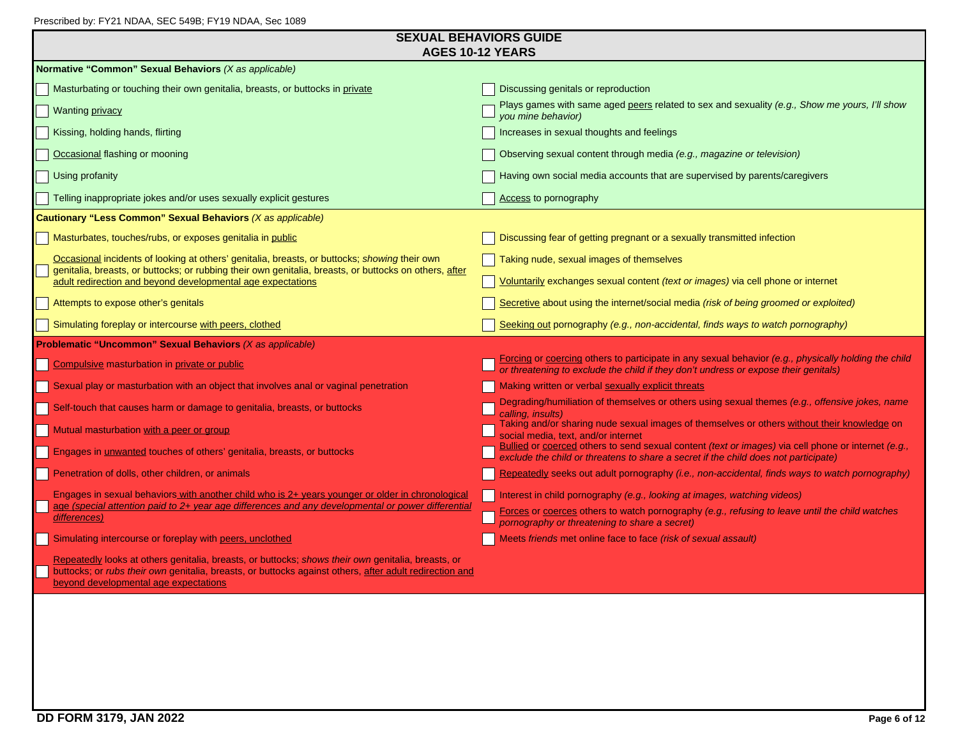| Prescribed by: FY21 NDAA, SEC 549B; FY19 NDAA, Sec 1089 |  |  |
|---------------------------------------------------------|--|--|
|                                                         |  |  |

| <b>SEXUAL BEHAVIORS GUIDE</b> |
|-------------------------------|
| AGES 10-12 YEARS              |

|                                                                                                                                                                                                                                                        | AGES 10-12 YEARS                                                                                                                                                                            |
|--------------------------------------------------------------------------------------------------------------------------------------------------------------------------------------------------------------------------------------------------------|---------------------------------------------------------------------------------------------------------------------------------------------------------------------------------------------|
| Normative "Common" Sexual Behaviors (X as applicable)                                                                                                                                                                                                  |                                                                                                                                                                                             |
| Masturbating or touching their own genitalia, breasts, or buttocks in private                                                                                                                                                                          | Discussing genitals or reproduction                                                                                                                                                         |
| Wanting <i>privacy</i>                                                                                                                                                                                                                                 | Plays games with same aged peers related to sex and sexuality (e.g., Show me yours, I'll show<br>vou mine behavior)                                                                         |
| Kissing, holding hands, flirting                                                                                                                                                                                                                       | Increases in sexual thoughts and feelings                                                                                                                                                   |
| Occasional flashing or mooning                                                                                                                                                                                                                         | Observing sexual content through media (e.g., magazine or television)                                                                                                                       |
| Using profanity                                                                                                                                                                                                                                        | Having own social media accounts that are supervised by parents/caregivers                                                                                                                  |
| Telling inappropriate jokes and/or uses sexually explicit gestures                                                                                                                                                                                     | <b>Access to pornography</b>                                                                                                                                                                |
| Cautionary "Less Common" Sexual Behaviors (X as applicable)                                                                                                                                                                                            |                                                                                                                                                                                             |
| Masturbates, touches/rubs, or exposes genitalia in public                                                                                                                                                                                              | Discussing fear of getting pregnant or a sexually transmitted infection                                                                                                                     |
| Occasional incidents of looking at others' genitalia, breasts, or buttocks; showing their own<br>genitalia, breasts, or buttocks; or rubbing their own genitalia, breasts, or buttocks on others, after                                                | Taking nude, sexual images of themselves                                                                                                                                                    |
| adult redirection and beyond developmental age expectations                                                                                                                                                                                            | Voluntarily exchanges sexual content (text or images) via cell phone or internet                                                                                                            |
| Attempts to expose other's genitals                                                                                                                                                                                                                    | Secretive about using the internet/social media (risk of being groomed or exploited)                                                                                                        |
| Simulating foreplay or intercourse with peers, clothed                                                                                                                                                                                                 | Seeking out pornography (e.g., non-accidental, finds ways to watch pornography)                                                                                                             |
| <b>Problematic "Uncommon" Sexual Behaviors (X as applicable)</b>                                                                                                                                                                                       |                                                                                                                                                                                             |
| Compulsive masturbation in private or public                                                                                                                                                                                                           | Forcing or coercing others to participate in any sexual behavior (e.g., physically holding the child<br>or threatening to exclude the child if they don't undress or expose their genitals) |
| Sexual play or masturbation with an object that involves anal or vaginal penetration                                                                                                                                                                   | Making written or verbal sexually explicit threats                                                                                                                                          |
| Self-touch that causes harm or damage to genitalia, breasts, or buttocks                                                                                                                                                                               | Degrading/humiliation of themselves or others using sexual themes (e.g., offensive jokes, name<br>calling. insults)                                                                         |
| Mutual masturbation with a peer or group                                                                                                                                                                                                               | Taking and/or sharing nude sexual images of themselves or others without their knowledge on<br>social media, text, and/or internet                                                          |
| Engages in <i>unwanted</i> touches of others' genitalia, breasts, or buttocks                                                                                                                                                                          | Bullied or coerced others to send sexual content (text or images) via cell phone or internet (e.g.,<br>exclude the child or threatens to share a secret if the child does not participate)  |
| Penetration of dolls, other children, or animals                                                                                                                                                                                                       | Repeatedly seeks out adult pornography (i.e., non-accidental, finds ways to watch pornography)                                                                                              |
|                                                                                                                                                                                                                                                        |                                                                                                                                                                                             |
| Engages in sexual behaviors with another child who is 2+ years younger or older in chronological                                                                                                                                                       | Interest in child pornography (e.g., looking at images, watching videos)                                                                                                                    |
| age (special attention paid to 2+ year age differences and any developmental or power differential<br>differences)                                                                                                                                     | Forces or coerces others to watch pornography (e.g., refusing to leave until the child watches<br>pornography or threatening to share a secret)                                             |
| Simulating intercourse or foreplay with peers, unclothed                                                                                                                                                                                               | Meets friends met online face to face (risk of sexual assault)                                                                                                                              |
| Repeatedly looks at others genitalia, breasts, or buttocks; shows their own genitalia, breasts, or<br>buttocks; or rubs their own genitalia, breasts, or buttocks against others, after adult redirection and<br>beyond developmental age expectations |                                                                                                                                                                                             |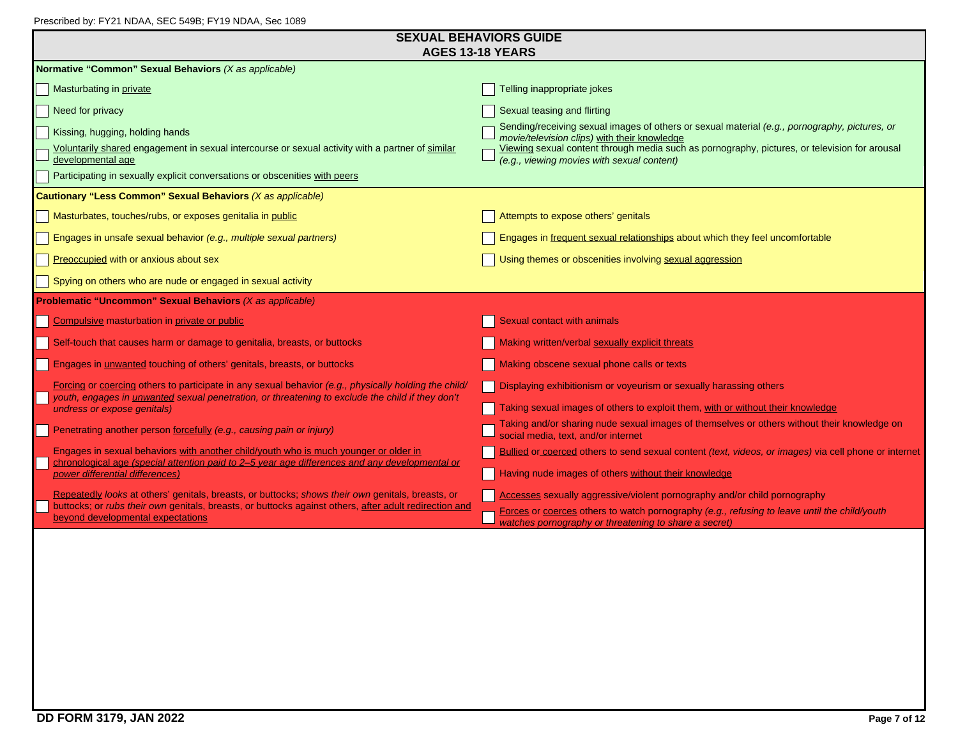| Prescribed by: FY21 NDAA, SEC 549B; FY19 NDAA, Sec 1089 |
|---------------------------------------------------------|
|---------------------------------------------------------|

| <b>SEXUAL BEHAVIORS GUIDE</b><br><b>AGES 13-18 YEARS</b>                                                                                                                                                         |                                                                                                                                                       |  |  |  |
|------------------------------------------------------------------------------------------------------------------------------------------------------------------------------------------------------------------|-------------------------------------------------------------------------------------------------------------------------------------------------------|--|--|--|
| Normative "Common" Sexual Behaviors (X as applicable)                                                                                                                                                            |                                                                                                                                                       |  |  |  |
| Masturbating in private                                                                                                                                                                                          | Telling inappropriate jokes                                                                                                                           |  |  |  |
| Need for privacy                                                                                                                                                                                                 | Sexual teasing and flirting                                                                                                                           |  |  |  |
| Kissing, hugging, holding hands                                                                                                                                                                                  | Sending/receiving sexual images of others or sexual material (e.g., pornography, pictures, or<br>movie/television clips) with their knowledge         |  |  |  |
| Voluntarily shared engagement in sexual intercourse or sexual activity with a partner of similar<br>developmental age                                                                                            | Viewing sexual content through media such as pornography, pictures, or television for arousal<br>(e.g., viewing movies with sexual content)           |  |  |  |
| Participating in sexually explicit conversations or obscenities with peers                                                                                                                                       |                                                                                                                                                       |  |  |  |
| Cautionary "Less Common" Sexual Behaviors (X as applicable)                                                                                                                                                      |                                                                                                                                                       |  |  |  |
| Masturbates, touches/rubs, or exposes genitalia in public                                                                                                                                                        | Attempts to expose others' genitals                                                                                                                   |  |  |  |
| Engages in unsafe sexual behavior (e.g., multiple sexual partners)                                                                                                                                               | Engages in frequent sexual relationships about which they feel uncomfortable                                                                          |  |  |  |
| Preoccupied with or anxious about sex                                                                                                                                                                            | Using themes or obscenities involving sexual aggression                                                                                               |  |  |  |
| Spying on others who are nude or engaged in sexual activity                                                                                                                                                      |                                                                                                                                                       |  |  |  |
| <b>Problematic "Uncommon" Sexual Behaviors (X as applicable)</b>                                                                                                                                                 |                                                                                                                                                       |  |  |  |
| Compulsive masturbation in private or public                                                                                                                                                                     | Sexual contact with animals                                                                                                                           |  |  |  |
| Self-touch that causes harm or damage to genitalia, breasts, or buttocks                                                                                                                                         | Making written/verbal sexually explicit threats                                                                                                       |  |  |  |
| Engages in unwanted touching of others' genitals, breasts, or buttocks                                                                                                                                           | Making obscene sexual phone calls or texts                                                                                                            |  |  |  |
| Forcing or coercing others to participate in any sexual behavior (e.g., physically holding the child/<br>youth, engages in <i>unwanted</i> sexual penetration, or threatening to exclude the child if they don't | <b>Displaying exhibitionism or voyeurism or sexually harassing others</b>                                                                             |  |  |  |
| undress or expose genitals)                                                                                                                                                                                      | Taking sexual images of others to exploit them, with or without their knowledge                                                                       |  |  |  |
| Penetrating another person forcefully (e.g., causing pain or injury)                                                                                                                                             | Taking and/or sharing nude sexual images of themselves or others without their knowledge on<br>social media, text, and/or internet                    |  |  |  |
| Engages in sexual behaviors with another child/youth who is much younger or older in<br>chronological age (special attention paid to 2-5 year age differences and any developmental or                           | Bullied or coerced others to send sexual content (text, videos, or images) via cell phone or internet                                                 |  |  |  |
| power differential differences)                                                                                                                                                                                  | Having nude images of others without their knowledge                                                                                                  |  |  |  |
| Repeatedly looks at others' genitals, breasts, or buttocks; shows their own genitals, breasts, or                                                                                                                | Accesses sexually aggressive/violent pornography and/or child pornography                                                                             |  |  |  |
| buttocks; or rubs their own genitals, breasts, or buttocks against others, after adult redirection and<br>beyond developmental expectations                                                                      | Forces or coerces others to watch pornography (e.g., refusing to leave until the child/youth<br>watches pornography or threatening to share a secret) |  |  |  |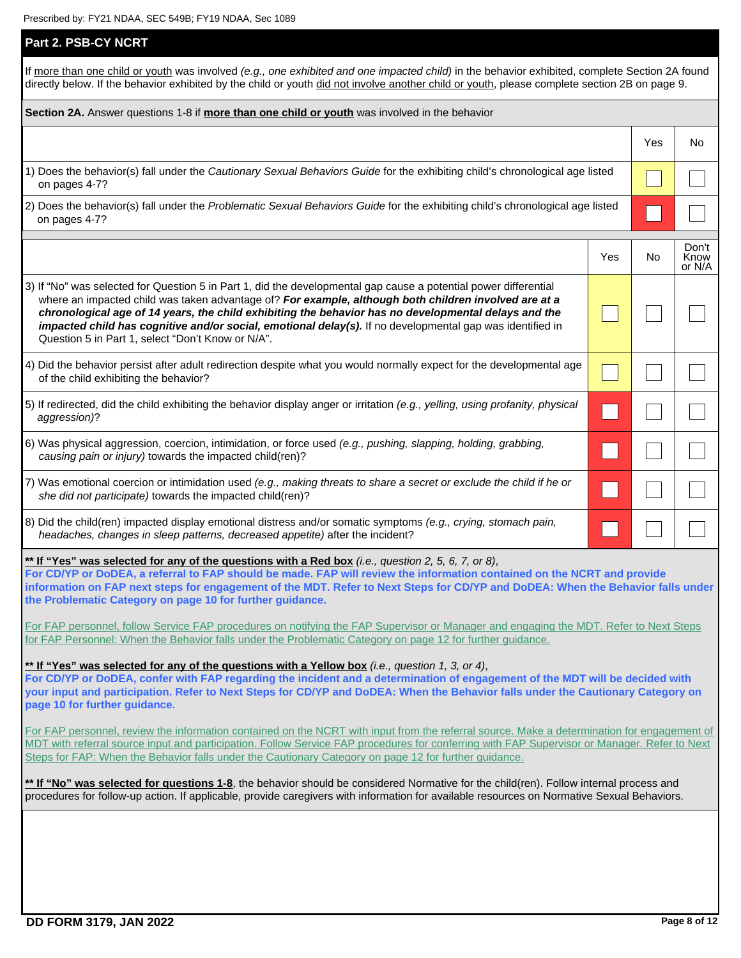| Part 2. PSB-CY NCRT                                                                                                                                                                                                                                                                                                                                                                                                                                                                                 |                                                                                                                                       |     |                         |  |
|-----------------------------------------------------------------------------------------------------------------------------------------------------------------------------------------------------------------------------------------------------------------------------------------------------------------------------------------------------------------------------------------------------------------------------------------------------------------------------------------------------|---------------------------------------------------------------------------------------------------------------------------------------|-----|-------------------------|--|
| If more than one child or youth was involved (e.g., one exhibited and one impacted child) in the behavior exhibited, complete Section 2A found<br>directly below. If the behavior exhibited by the child or youth did not involve another child or youth, please complete section 2B on page 9.                                                                                                                                                                                                     |                                                                                                                                       |     |                         |  |
| Section 2A. Answer questions 1-8 if more than one child or youth was involved in the behavior                                                                                                                                                                                                                                                                                                                                                                                                       |                                                                                                                                       |     |                         |  |
|                                                                                                                                                                                                                                                                                                                                                                                                                                                                                                     |                                                                                                                                       | Yes | No                      |  |
| 1) Does the behavior(s) fall under the Cautionary Sexual Behaviors Guide for the exhibiting child's chronological age listed<br>on pages 4-7?                                                                                                                                                                                                                                                                                                                                                       |                                                                                                                                       |     |                         |  |
| 2) Does the behavior(s) fall under the Problematic Sexual Behaviors Guide for the exhibiting child's chronological age listed<br>on pages 4-7?                                                                                                                                                                                                                                                                                                                                                      |                                                                                                                                       |     |                         |  |
|                                                                                                                                                                                                                                                                                                                                                                                                                                                                                                     | Yes                                                                                                                                   | No  | Don't<br>Know<br>or N/A |  |
| 3) If "No" was selected for Question 5 in Part 1, did the developmental gap cause a potential power differential<br>where an impacted child was taken advantage of? For example, although both children involved are at a<br>chronological age of 14 years, the child exhibiting the behavior has no developmental delays and the<br>impacted child has cognitive and/or social, emotional delay(s). If no developmental gap was identified in<br>Question 5 in Part 1, select "Don't Know or N/A". |                                                                                                                                       |     |                         |  |
| 4) Did the behavior persist after adult redirection despite what you would normally expect for the developmental age<br>of the child exhibiting the behavior?                                                                                                                                                                                                                                                                                                                                       |                                                                                                                                       |     |                         |  |
| 5) If redirected, did the child exhibiting the behavior display anger or irritation (e.g., yelling, using profanity, physical<br>aggression)?                                                                                                                                                                                                                                                                                                                                                       |                                                                                                                                       |     |                         |  |
| 6) Was physical aggression, coercion, intimidation, or force used (e.g., pushing, slapping, holding, grabbing,<br>causing pain or injury) towards the impacted child(ren)?                                                                                                                                                                                                                                                                                                                          |                                                                                                                                       |     |                         |  |
| 7) Was emotional coercion or intimidation used (e.g., making threats to share a secret or exclude the child if he or<br>she did not participate) towards the impacted child(ren)?                                                                                                                                                                                                                                                                                                                   |                                                                                                                                       |     |                         |  |
| 8) Did the child(ren) impacted display emotional distress and/or somatic symptoms (e.g., crying, stomach pain,<br>headaches, changes in sleep patterns, decreased appetite) after the incident?                                                                                                                                                                                                                                                                                                     |                                                                                                                                       |     |                         |  |
| ** If "Yes" was selected for any of the questions with a Red box (i.e., question 2, 5, 6, 7, or 8),<br>For CD/YP or DoDEA, a referral to FAP should be made. FAP will review the information contained on the NCRT and provide<br>information on FAP next steps for engagement of the MDT. Refer to Next Steps for CD/YP and DoDEA: When the Behavior falls under<br>the Problematic Category on page 10 for further guidance.                                                                      |                                                                                                                                       |     |                         |  |
| for FAP Personnel: When the Behavior falls under the Problematic Category on page 12 for further guidance.                                                                                                                                                                                                                                                                                                                                                                                          | For FAP personnel, follow Service FAP procedures on notifying the FAP Supervisor or Manager and engaging the MDT. Refer to Next Steps |     |                         |  |
| ** If "Yes" was selected for any of the questions with a Yellow box (i.e., question 1, 3, or 4),<br>For CD/YP or DoDEA, confer with FAP regarding the incident and a determination of engagement of the MDT will be decided with<br>your input and participation. Refer to Next Steps for CD/YP and DoDEA: When the Behavior falls under the Cautionary Category on<br>page 10 for further guidance.                                                                                                |                                                                                                                                       |     |                         |  |
| For FAP personnel, review the information contained on the NCRT with input from the referral source. Make a determination for engagement of<br>MDT with referral source input and participation. Follow Service FAP procedures for conferring with FAP Supervisor or Manager. Refer to Next<br>Steps for FAP: When the Behavior falls under the Cautionary Category on page 12 for further guidance.                                                                                                |                                                                                                                                       |     |                         |  |
| ** If "No" was selected for questions 1-8, the behavior should be considered Normative for the child(ren). Follow internal process and<br>procedures for follow-up action. If applicable, provide caregivers with information for available resources on Normative Sexual Behaviors.                                                                                                                                                                                                                |                                                                                                                                       |     |                         |  |
|                                                                                                                                                                                                                                                                                                                                                                                                                                                                                                     |                                                                                                                                       |     |                         |  |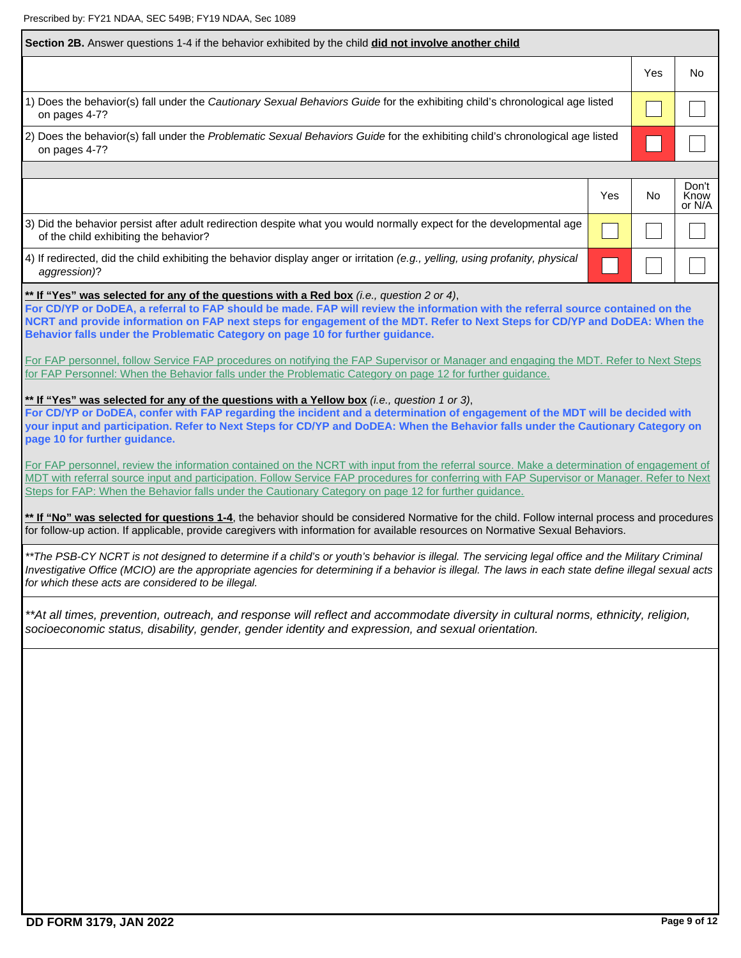| Section 2B. Answer questions 1-4 if the behavior exhibited by the child <b>did not involve another child</b>                                                                                                                                                                                                                                                                                                                                  |     |     |                         |
|-----------------------------------------------------------------------------------------------------------------------------------------------------------------------------------------------------------------------------------------------------------------------------------------------------------------------------------------------------------------------------------------------------------------------------------------------|-----|-----|-------------------------|
|                                                                                                                                                                                                                                                                                                                                                                                                                                               |     | Yes | No                      |
| 1) Does the behavior(s) fall under the Cautionary Sexual Behaviors Guide for the exhibiting child's chronological age listed<br>on pages 4-7?                                                                                                                                                                                                                                                                                                 |     |     |                         |
| 2) Does the behavior(s) fall under the Problematic Sexual Behaviors Guide for the exhibiting child's chronological age listed<br>on pages 4-7?                                                                                                                                                                                                                                                                                                |     |     |                         |
|                                                                                                                                                                                                                                                                                                                                                                                                                                               |     |     |                         |
|                                                                                                                                                                                                                                                                                                                                                                                                                                               | Yes | No  | Don't<br>Know<br>or N/A |
| 3) Did the behavior persist after adult redirection despite what you would normally expect for the developmental age<br>of the child exhibiting the behavior?                                                                                                                                                                                                                                                                                 |     |     |                         |
| 4) If redirected, did the child exhibiting the behavior display anger or irritation (e.g., yelling, using profanity, physical<br>aggression)?                                                                                                                                                                                                                                                                                                 |     |     |                         |
| ** If "Yes" was selected for any of the questions with a Red box (i.e., question 2 or 4),<br>For CD/YP or DoDEA, a referral to FAP should be made. FAP will review the information with the referral source contained on the<br>NCRT and provide information on FAP next steps for engagement of the MDT. Refer to Next Steps for CD/YP and DoDEA: When the<br>Behavior falls under the Problematic Category on page 10 for further guidance. |     |     |                         |
| For FAP personnel, follow Service FAP procedures on notifying the FAP Supervisor or Manager and engaging the MDT. Refer to Next Steps<br>for FAP Personnel: When the Behavior falls under the Problematic Category on page 12 for further guidance.                                                                                                                                                                                           |     |     |                         |
| ** If "Yes" was selected for any of the questions with a Yellow box (i.e., question 1 or 3),<br>For CD/YP or DoDEA, confer with FAP regarding the incident and a determination of engagement of the MDT will be decided with<br>your input and participation. Refer to Next Steps for CD/YP and DoDEA: When the Behavior falls under the Cautionary Category on<br>page 10 for further guidance.                                              |     |     |                         |
| For FAP personnel, review the information contained on the NCRT with input from the referral source. Make a determination of engagement of<br>MDT with referral source input and participation. Follow Service FAP procedures for conferring with FAP Supervisor or Manager. Refer to Next<br>Steps for FAP: When the Behavior falls under the Cautionary Category on page 12 for further guidance.                                           |     |     |                         |
| ** If "No" was selected for questions 1-4, the behavior should be considered Normative for the child. Follow internal process and procedures<br>for follow-up action. If applicable, provide caregivers with information for available resources on Normative Sexual Behaviors.                                                                                                                                                               |     |     |                         |
| **The PSB-CY NCRT is not designed to determine if a child's or youth's behavior is illegal. The servicing legal office and the Military Criminal<br>Investigative Office (MCIO) are the appropriate agencies for determining if a behavior is illegal. The laws in each state define illegal sexual acts<br>for which these acts are considered to be illegal.                                                                                |     |     |                         |
| **At all times, prevention, outreach, and response will reflect and accommodate diversity in cultural norms, ethnicity, religion,<br>socioeconomic status, disability, gender, gender identity and expression, and sexual orientation.                                                                                                                                                                                                        |     |     |                         |
|                                                                                                                                                                                                                                                                                                                                                                                                                                               |     |     |                         |
|                                                                                                                                                                                                                                                                                                                                                                                                                                               |     |     |                         |
|                                                                                                                                                                                                                                                                                                                                                                                                                                               |     |     |                         |
|                                                                                                                                                                                                                                                                                                                                                                                                                                               |     |     |                         |
|                                                                                                                                                                                                                                                                                                                                                                                                                                               |     |     |                         |
|                                                                                                                                                                                                                                                                                                                                                                                                                                               |     |     |                         |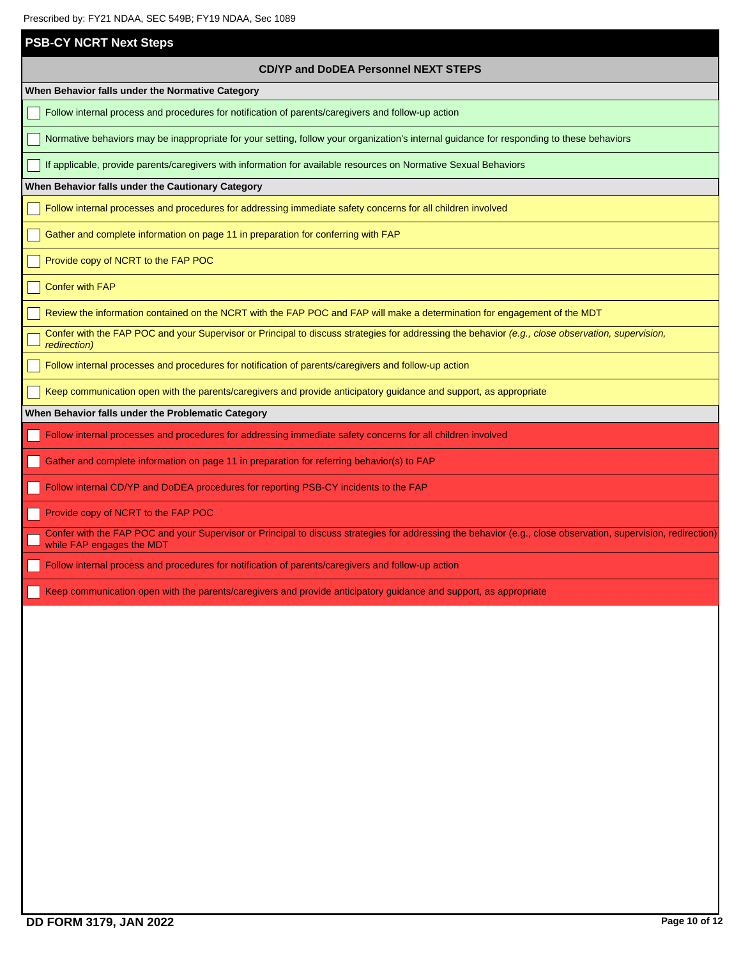| PIESCIIDEQ DY. FYZT NUAA, SEC 349B, FYT9 NUAA, SEC 1069                                                                                                                                     |  |  |  |  |
|---------------------------------------------------------------------------------------------------------------------------------------------------------------------------------------------|--|--|--|--|
| <b>PSB-CY NCRT Next Steps</b>                                                                                                                                                               |  |  |  |  |
| <b>CD/YP and DoDEA Personnel NEXT STEPS</b>                                                                                                                                                 |  |  |  |  |
| When Behavior falls under the Normative Category                                                                                                                                            |  |  |  |  |
| Follow internal process and procedures for notification of parents/caregivers and follow-up action                                                                                          |  |  |  |  |
| Normative behaviors may be inappropriate for your setting, follow your organization's internal guidance for responding to these behaviors                                                   |  |  |  |  |
| If applicable, provide parents/caregivers with information for available resources on Normative Sexual Behaviors                                                                            |  |  |  |  |
| When Behavior falls under the Cautionary Category                                                                                                                                           |  |  |  |  |
| Follow internal processes and procedures for addressing immediate safety concerns for all children involved                                                                                 |  |  |  |  |
| Gather and complete information on page 11 in preparation for conferring with FAP                                                                                                           |  |  |  |  |
| Provide copy of NCRT to the FAP POC                                                                                                                                                         |  |  |  |  |
| <b>Confer with FAP</b>                                                                                                                                                                      |  |  |  |  |
| Review the information contained on the NCRT with the FAP POC and FAP will make a determination for engagement of the MDT                                                                   |  |  |  |  |
| Confer with the FAP POC and your Supervisor or Principal to discuss strategies for addressing the behavior (e.g., close observation, supervision,<br>redirection)                           |  |  |  |  |
| Follow internal processes and procedures for notification of parents/caregivers and follow-up action                                                                                        |  |  |  |  |
| Keep communication open with the parents/caregivers and provide anticipatory guidance and support, as appropriate                                                                           |  |  |  |  |
| When Behavior falls under the Problematic Category                                                                                                                                          |  |  |  |  |
| Follow internal processes and procedures for addressing immediate safety concerns for all children involved                                                                                 |  |  |  |  |
| Gather and complete information on page 11 in preparation for referring behavior(s) to FAP                                                                                                  |  |  |  |  |
| Follow internal CD/YP and DoDEA procedures for reporting PSB-CY incidents to the FAP                                                                                                        |  |  |  |  |
| Provide copy of NCRT to the FAP POC                                                                                                                                                         |  |  |  |  |
| Confer with the FAP POC and your Supervisor or Principal to discuss strategies for addressing the behavior (e.g., close observation, supervision, redirection)<br>while FAP engages the MDT |  |  |  |  |
| Follow internal process and procedures for notification of parents/caregivers and follow-up action                                                                                          |  |  |  |  |
| Keep communication open with the parents/caregivers and provide anticipatory guidance and support, as appropriate                                                                           |  |  |  |  |
|                                                                                                                                                                                             |  |  |  |  |
|                                                                                                                                                                                             |  |  |  |  |
|                                                                                                                                                                                             |  |  |  |  |
|                                                                                                                                                                                             |  |  |  |  |
|                                                                                                                                                                                             |  |  |  |  |
|                                                                                                                                                                                             |  |  |  |  |
|                                                                                                                                                                                             |  |  |  |  |
|                                                                                                                                                                                             |  |  |  |  |
|                                                                                                                                                                                             |  |  |  |  |
|                                                                                                                                                                                             |  |  |  |  |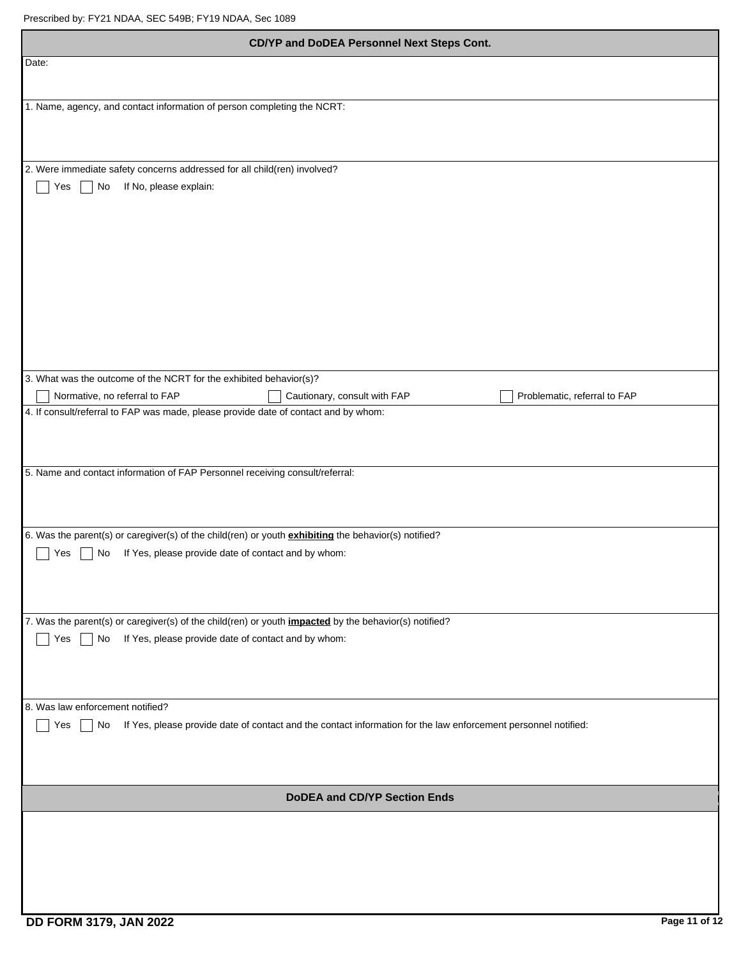| CD/YP and DoDEA Personnel Next Steps Cont.                                                                                                                                       |
|----------------------------------------------------------------------------------------------------------------------------------------------------------------------------------|
| Date:                                                                                                                                                                            |
| 1. Name, agency, and contact information of person completing the NCRT:                                                                                                          |
|                                                                                                                                                                                  |
|                                                                                                                                                                                  |
| 2. Were immediate safety concerns addressed for all child(ren) involved?                                                                                                         |
| If No, please explain:<br>No<br>Yes                                                                                                                                              |
|                                                                                                                                                                                  |
|                                                                                                                                                                                  |
|                                                                                                                                                                                  |
|                                                                                                                                                                                  |
|                                                                                                                                                                                  |
|                                                                                                                                                                                  |
|                                                                                                                                                                                  |
| 3. What was the outcome of the NCRT for the exhibited behavior(s)?<br>Cautionary, consult with FAP<br>Problematic, referral to FAP<br>Normative, no referral to FAP              |
| 4. If consult/referral to FAP was made, please provide date of contact and by whom:                                                                                              |
|                                                                                                                                                                                  |
| 5. Name and contact information of FAP Personnel receiving consult/referral:                                                                                                     |
|                                                                                                                                                                                  |
|                                                                                                                                                                                  |
| 6. Was the parent(s) or caregiver(s) of the child(ren) or youth <b>exhibiting</b> the behavior(s) notified?                                                                      |
| If Yes, please provide date of contact and by whom:<br>Yes<br>No                                                                                                                 |
|                                                                                                                                                                                  |
|                                                                                                                                                                                  |
| 7. Was the parent(s) or caregiver(s) of the child(ren) or youth <i>impacted</i> by the behavior(s) notified?<br>If Yes, please provide date of contact and by whom:<br>Yes<br>No |
|                                                                                                                                                                                  |
|                                                                                                                                                                                  |
| 8. Was law enforcement notified?                                                                                                                                                 |
| If Yes, please provide date of contact and the contact information for the law enforcement personnel notified:<br>Yes<br>No                                                      |
|                                                                                                                                                                                  |
|                                                                                                                                                                                  |
| <b>DoDEA and CD/YP Section Ends</b>                                                                                                                                              |
|                                                                                                                                                                                  |
|                                                                                                                                                                                  |
|                                                                                                                                                                                  |
|                                                                                                                                                                                  |